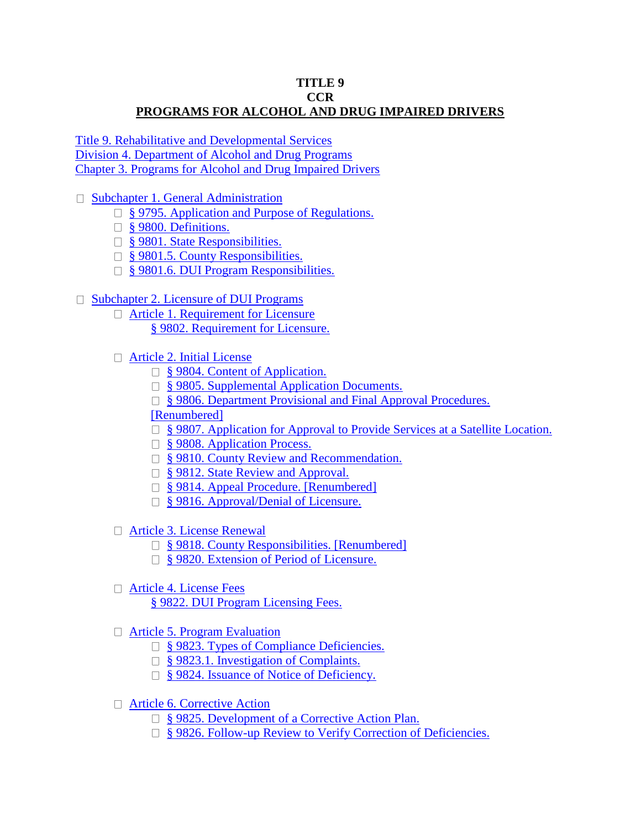## **TITLE 9 CCR PROGRAMS FOR ALCOHOL AND DRUG IMPAIRED DRIVERS**

[Title 9. Rehabilitative and Developmental Services](https://govt.westlaw.com/calregs/Browse/Home/California/CaliforniaCodeofRegulations?guid=I948674A0D45211DEB97CF67CD0B99467&originationContext=documenttoc&transitionType=Default&contextData=(sc.Default)) [Division 4. Department of Alcohol and Drug Programs](https://govt.westlaw.com/calregs/Browse/Home/California/CaliforniaCodeofRegulations?guid=IE2D7EF70D45311DEB97CF67CD0B99467&originationContext=documenttoc&transitionType=Default&contextData=(sc.Default)) [Chapter 3. Programs for Alcohol and Drug Impaired Drivers](https://govt.westlaw.com/calregs/Browse/Home/California/CaliforniaCodeofRegulations?guid=IEF3E1190D45311DEB97CF67CD0B99467&originationContext=documenttoc&transitionType=Default&contextData=(sc.Default))

□ [Subchapter 1. General Administration](https://govt.westlaw.com/calregs/Browse/Home/California/CaliforniaCodeofRegulations?guid=IEF3F2300D45311DEB97CF67CD0B99467&originationContext=documenttoc&transitionType=Default&contextData=(sc.Default))

- □ [§ 9795. Application and Purpose of Regulations.](https://govt.westlaw.com/calregs/Document/ID6F4589079FD11E1BC038DDB09BD549F?viewType=FullText&originationContext=documenttoc&transitionType=CategoryPageItem&contextData=(sc.Default))
- □ [§ 9800. Definitions.](https://govt.westlaw.com/calregs/Document/ID741672079FD11E1BC038DDB09BD549F?viewType=FullText&originationContext=documenttoc&transitionType=CategoryPageItem&contextData=(sc.Default))
- □ [§ 9801. State Responsibilities.](https://govt.westlaw.com/calregs/Document/IEFDBFF40D45311DEB97CF67CD0B99467?viewType=FullText&originationContext=documenttoc&transitionType=CategoryPageItem&contextData=(sc.Default))
- □ [§ 9801.5. County Responsibilities.](https://govt.westlaw.com/calregs/Document/ID79AD1C079FD11E1BC038DDB09BD549F?viewType=FullText&originationContext=documenttoc&transitionType=CategoryPageItem&contextData=(sc.Default))
- □ [§ 9801.6. DUI Program Responsibilities.](https://govt.westlaw.com/calregs/Document/ID7C452C079FD11E1BC038DDB09BD549F?viewType=FullText&originationContext=documenttoc&transitionType=CategoryPageItem&contextData=(sc.Default))

## □ [Subchapter 2. Licensure of DUI Programs](https://govt.westlaw.com/calregs/Browse/Home/California/CaliforniaCodeofRegulations?guid=ID7F48A8079FD11E1BC038DDB09BD549F&originationContext=documenttoc&transitionType=Default&contextData=(sc.Default))

- □ [Article 1. Requirement for Licensure](https://govt.westlaw.com/calregs/Browse/Home/California/CaliforniaCodeofRegulations?guid=ID7F5EA1079FD11E1BC038DDB09BD549F&originationContext=documenttoc&transitionType=Default&contextData=(sc.Default)) [§ 9802. Requirement for Licensure.](https://govt.westlaw.com/calregs/Document/ID7F5C30079FD11E1BC038DDB09BD549F?viewType=FullText&originationContext=documenttoc&transitionType=CategoryPageItem&contextData=(sc.Default))
- [Article 2. Initial License](https://govt.westlaw.com/calregs/Browse/Home/California/CaliforniaCodeofRegulations?guid=ID8944CF079FD11E1BC038DDB09BD549F&originationContext=documenttoc&transitionType=Default&contextData=(sc.Default))
	- □ [§ 9804. Content of Application.](https://govt.westlaw.com/calregs/Document/ID89425E079FD11E1BC038DDB09BD549F?viewType=FullText&originationContext=documenttoc&transitionType=CategoryPageItem&contextData=(sc.Default))
	- □ [§ 9805. Supplemental Application Documents.](https://govt.westlaw.com/calregs/Document/ID8E2E22079FD11E1BC038DDB09BD549F?viewType=FullText&originationContext=documenttoc&transitionType=CategoryPageItem&contextData=(sc.Default))
	- □ § 9806. Department Provisional and Final Approval Procedures.

## [\[Renumbered\]](https://govt.westlaw.com/calregs/Document/ID921BFE079FD11E1BC038DDB09BD549F?viewType=FullText&originationContext=documenttoc&transitionType=CategoryPageItem&contextData=(sc.Default))

□ [§ 9807. Application for Approval to Provide Services at a Satellite Location.](https://govt.westlaw.com/calregs/Document/ID9914A9079FD11E1BC038DDB09BD549F?viewType=FullText&originationContext=documenttoc&transitionType=CategoryPageItem&contextData=(sc.Default))

- □ [§ 9808. Application Process.](https://govt.westlaw.com/calregs/Document/ID9BEEA4079FD11E1BC038DDB09BD549F?viewType=FullText&originationContext=documenttoc&transitionType=CategoryPageItem&contextData=(sc.Default))
- □ [§ 9810. County Review and Recommendation.](https://govt.westlaw.com/calregs/Document/ID9EE109079FD11E1BC038DDB09BD549F?viewType=FullText&originationContext=documenttoc&transitionType=CategoryPageItem&contextData=(sc.Default))
- □ [§ 9812. State Review and Approval.](https://govt.westlaw.com/calregs/Document/IDA1BB04079FD11E1BC038DDB09BD549F?viewType=FullText&originationContext=documenttoc&transitionType=CategoryPageItem&contextData=(sc.Default))
- □ [§ 9814. Appeal Procedure. \[Renumbered\]](https://govt.westlaw.com/calregs/Document/IDA4CF97079FD11E1BC038DDB09BD549F?viewType=FullText&originationContext=documenttoc&transitionType=CategoryPageItem&contextData=(sc.Default))
- □ [§ 9816. Approval/Denial of Licensure.](https://govt.westlaw.com/calregs/Document/IDA7CE31079FD11E1BC038DDB09BD549F?viewType=FullText&originationContext=documenttoc&transitionType=CategoryPageItem&contextData=(sc.Default))
- [Article 3. License Renewal](https://govt.westlaw.com/calregs/Browse/Home/California/CaliforniaCodeofRegulations?guid=IDAC13F1179FD11E1BC038DDB09BD549F&originationContext=documenttoc&transitionType=Default&contextData=(sc.Default))
	- □ [§ 9818. County Responsibilities. \[Renumbered\]](https://govt.westlaw.com/calregs/Document/IDAC13F1079FD11E1BC038DDB09BD549F?viewType=FullText&originationContext=documenttoc&transitionType=CategoryPageItem&contextData=(sc.Default))
	- □ [§ 9820. Extension of Period of Licensure.](https://govt.westlaw.com/calregs/Document/IDB05C22079FD11E1BC038DDB09BD549F?viewType=FullText&originationContext=documenttoc&transitionType=CategoryPageItem&contextData=(sc.Default))
- □ [Article 4. License Fees](https://govt.westlaw.com/calregs/Browse/Home/California/CaliforniaCodeofRegulations?guid=IDB36BD3079FD11E1BC038DDB09BD549F&originationContext=documenttoc&transitionType=Default&contextData=(sc.Default))
	- [§ 9822. DUI Program Licensing Fees.](https://govt.westlaw.com/calregs/Document/IDB36962079FD11E1BC038DDB09BD549F?viewType=FullText&originationContext=documenttoc&transitionType=CategoryPageItem&contextData=(sc.Default))
- □ [Article 5. Program Evaluation](https://govt.westlaw.com/calregs/Browse/Home/California/CaliforniaCodeofRegulations?guid=IDBCDCD1079FD11E1BC038DDB09BD549F&originationContext=documenttoc&transitionType=Default&contextData=(sc.Default))
	- □ [§ 9823. Types of Compliance Deficiencies.](https://govt.westlaw.com/calregs/Document/IDBCD7EF079FD11E1BC038DDB09BD549F?viewType=FullText&originationContext=documenttoc&transitionType=CategoryPageItem&contextData=(sc.Default))
	- □ [§ 9823.1. Investigation of Complaints.](https://govt.westlaw.com/calregs/Document/IDC3B34E079FD11E1BC038DDB09BD549F?viewType=FullText&originationContext=documenttoc&transitionType=CategoryPageItem&contextData=(sc.Default))
	- □ [§ 9824. Issuance of Notice of Deficiency.](https://govt.westlaw.com/calregs/Document/IDC68FBA079FD11E1BC038DDB09BD549F?viewType=FullText&originationContext=documenttoc&transitionType=CategoryPageItem&contextData=(sc.Default))
- [Article 6. Corrective Action](https://govt.westlaw.com/calregs/Browse/Home/California/CaliforniaCodeofRegulations?guid=IDCA8C3C079FD11E1BC038DDB09BD549F&originationContext=documenttoc&transitionType=Default&contextData=(sc.Default))
	- □ [§ 9825. Development of a Corrective Action Plan.](https://govt.westlaw.com/calregs/Document/IDCA84E9079FD11E1BC038DDB09BD549F?viewType=FullText&originationContext=documenttoc&transitionType=CategoryPageItem&contextData=(sc.Default))
	- □ [§ 9826. Follow-up Review to Verify Correction of Deficiencies.](https://govt.westlaw.com/calregs/Document/IDCEF1B9079FD11E1BC038DDB09BD549F?viewType=FullText&originationContext=documenttoc&transitionType=CategoryPageItem&contextData=(sc.Default))